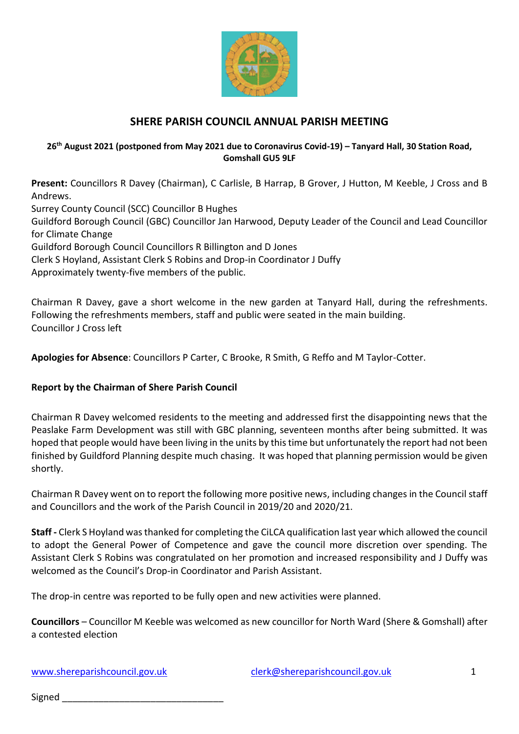

# **SHERE PARISH COUNCIL ANNUAL PARISH MEETING**

#### **26th August 2021 (postponed from May 2021 due to Coronavirus Covid-19) – Tanyard Hall, 30 Station Road, Gomshall GU5 9LF**

**Present:** Councillors R Davey (Chairman), C Carlisle, B Harrap, B Grover, J Hutton, M Keeble, J Cross and B Andrews. Surrey County Council (SCC) Councillor B Hughes Guildford Borough Council (GBC) Councillor Jan Harwood, Deputy Leader of the Council and Lead Councillor for Climate Change Guildford Borough Council Councillors R Billington and D Jones Clerk S Hoyland, Assistant Clerk S Robins and Drop-in Coordinator J Duffy Approximately twenty-five members of the public.

Chairman R Davey, gave a short welcome in the new garden at Tanyard Hall, during the refreshments. Following the refreshments members, staff and public were seated in the main building. Councillor J Cross left

**Apologies for Absence**: Councillors P Carter, C Brooke, R Smith, G Reffo and M Taylor-Cotter.

## **Report by the Chairman of Shere Parish Council**

Chairman R Davey welcomed residents to the meeting and addressed first the disappointing news that the Peaslake Farm Development was still with GBC planning, seventeen months after being submitted. It was hoped that people would have been living in the units by this time but unfortunately the report had not been finished by Guildford Planning despite much chasing. It was hoped that planning permission would be given shortly.

Chairman R Davey went on to report the following more positive news, including changes in the Council staff and Councillors and the work of the Parish Council in 2019/20 and 2020/21.

**Staff -** Clerk S Hoyland was thanked for completing the CiLCA qualification last year which allowed the council to adopt the General Power of Competence and gave the council more discretion over spending. The Assistant Clerk S Robins was congratulated on her promotion and increased responsibility and J Duffy was welcomed as the Council's Drop-in Coordinator and Parish Assistant.

The drop-in centre was reported to be fully open and new activities were planned.

**Councillors** – Councillor M Keeble was welcomed as new councillor for North Ward (Shere & Gomshall) after a contested election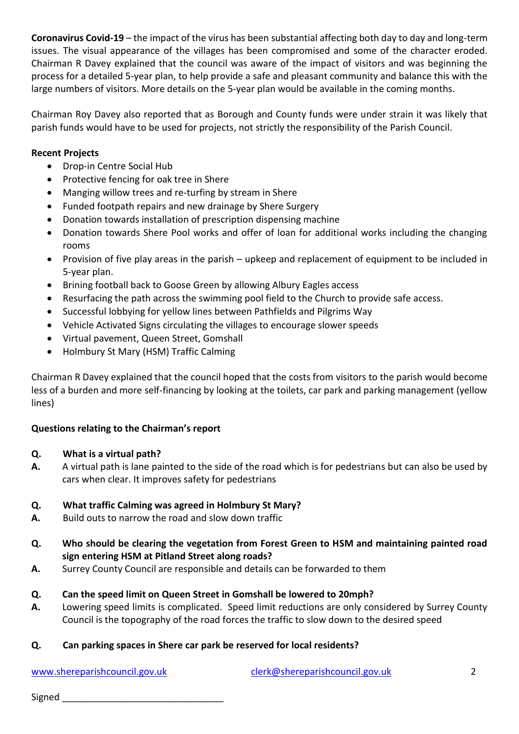**Coronavirus Covid-19** – the impact of the virus has been substantial affecting both day to day and long-term issues. The visual appearance of the villages has been compromised and some of the character eroded. Chairman R Davey explained that the council was aware of the impact of visitors and was beginning the process for a detailed 5-year plan, to help provide a safe and pleasant community and balance this with the large numbers of visitors. More details on the 5-year plan would be available in the coming months.

Chairman Roy Davey also reported that as Borough and County funds were under strain it was likely that parish funds would have to be used for projects, not strictly the responsibility of the Parish Council.

# **Recent Projects**

- Drop-in Centre Social Hub
- Protective fencing for oak tree in Shere
- Manging willow trees and re-turfing by stream in Shere
- Funded footpath repairs and new drainage by Shere Surgery
- Donation towards installation of prescription dispensing machine
- Donation towards Shere Pool works and offer of loan for additional works including the changing rooms
- Provision of five play areas in the parish upkeep and replacement of equipment to be included in 5-year plan.
- Brining football back to Goose Green by allowing Albury Eagles access
- Resurfacing the path across the swimming pool field to the Church to provide safe access.
- Successful lobbying for yellow lines between Pathfields and Pilgrims Way
- Vehicle Activated Signs circulating the villages to encourage slower speeds
- Virtual pavement, Queen Street, Gomshall
- Holmbury St Mary (HSM) Traffic Calming

Chairman R Davey explained that the council hoped that the costs from visitors to the parish would become less of a burden and more self-financing by looking at the toilets, car park and parking management (yellow lines)

## **Questions relating to the Chairman's report**

## **Q. What is a virtual path?**

**A.** A virtual path is lane painted to the side of the road which is for pedestrians but can also be used by cars when clear. It improves safety for pedestrians

## **Q. What traffic Calming was agreed in Holmbury St Mary?**

- **A.** Build outs to narrow the road and slow down traffic
- **Q. Who should be clearing the vegetation from Forest Green to HSM and maintaining painted road sign entering HSM at Pitland Street along roads?**
- **A.** Surrey County Council are responsible and details can be forwarded to them

## **Q. Can the speed limit on Queen Street in Gomshall be lowered to 20mph?**

**A.** Lowering speed limits is complicated. Speed limit reductions are only considered by Surrey County Council is the topography of the road forces the traffic to slow down to the desired speed

## **Q. Can parking spaces in Shere car park be reserved for local residents?**

[www.shereparishcouncil.gov.uk](http://www.shereparishcouncil.gov.uk/) [clerk@shereparishcouncil.gov.uk](mailto:clerk@shereparishcouncil.gov.uk) 2